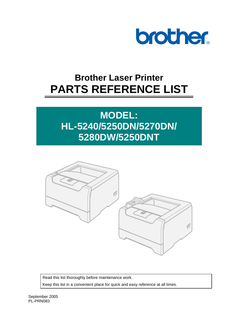

# **Brother Laser Printer PARTS REFERENCE LIST**

# **MODEL: HL-5240/5250DN/5270DN/ 5280DW/5250DNT**



Read this list thoroughly before maintenance work. Keep this list in a convenient place for quick and easy reference at all times.

September 2005 PL-PRN083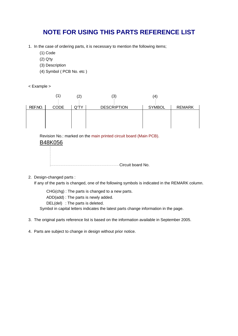# **NOTE FOR USING THIS PARTS REFERENCE LIST**

- 1. In the case of ordering parts, it is necessary to mention the following items;
	- (1) Code
	- (2) Q'ty
	- (3) Description
	- (4) Symbol ( PCB No. etc )
- < Example >



Revision No.: marked on the main printed circuit board (Main PCB).

# B48K056



2. Design-changed parts :

If any of the parts is changed, one of the following symbols is indicated in the REMARK column.

CHG(chg) : The parts is changed to a new parts.

ADD(add) : The parts is newly added.

DEL(del) : The parts is deleted.

Symbol in capital letters indicates the latest parts change information in the page.

- 3. The original parts reference list is based on the information available in September 2005.
- 4. Parts are subject to change in design without prior notice.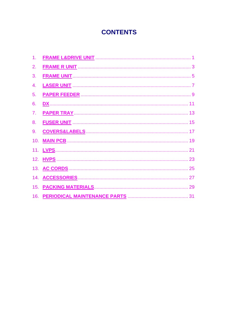# **CONTENTS**

| 1. |                                                                                                                                                                                                                                      |  |
|----|--------------------------------------------------------------------------------------------------------------------------------------------------------------------------------------------------------------------------------------|--|
| 2. |                                                                                                                                                                                                                                      |  |
| 3. |                                                                                                                                                                                                                                      |  |
| 4. |                                                                                                                                                                                                                                      |  |
| 5. |                                                                                                                                                                                                                                      |  |
| 6. |                                                                                                                                                                                                                                      |  |
| 7. |                                                                                                                                                                                                                                      |  |
| 8. | <b>FUSER UNIT MANUSCRIPS AND THE SET OF STATE AND THE SET OF STATE AND THE SET OF STATE AND SET OF STATE AND SET OF STATE AND SET OF STATE AND SET OF STATE AND SET OF STATE AND SET OF STATE AND SET OF STATE AND SET OF STATE </b> |  |
| 9. |                                                                                                                                                                                                                                      |  |
|    |                                                                                                                                                                                                                                      |  |
|    |                                                                                                                                                                                                                                      |  |
|    |                                                                                                                                                                                                                                      |  |
|    |                                                                                                                                                                                                                                      |  |
|    |                                                                                                                                                                                                                                      |  |
|    |                                                                                                                                                                                                                                      |  |
|    |                                                                                                                                                                                                                                      |  |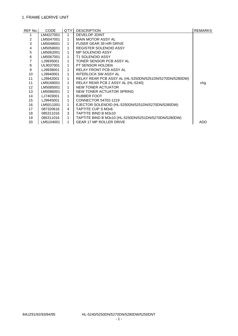## <span id="page-3-0"></span>1. FRAME L&DRIVE UNIT

| REF No.           | <b>CODE</b> | Q'TY | <b>DESCRIPTION</b>                                      | <b>REMARKS</b> |
|-------------------|-------------|------|---------------------------------------------------------|----------------|
|                   | LM4227001   | 1    | DEVELOP JOINT                                           |                |
| 2                 | LM5047001   | 1    | <b>MAIN MOTOR ASSY AL</b>                               |                |
| 3                 | LM5048001   | 1    | FUSER GEAR 39 H/R DRIVE                                 |                |
| 4                 | LM5058001   |      | <b>REGISTER SOLENOID ASSY</b>                           |                |
| 5                 | LM5062001   | 1    | <b>MP SOLENOID ASSY</b>                                 |                |
| 6                 | LM5067001   | 1    | <b>T1 SOLENOID ASSY</b>                                 |                |
| $\overline{7}$    | LJ9935001   |      | TONER SENSOR PCB ASSY AL                                |                |
| 8                 | UL9037001   | 1    | PT SENSOR HOLDER                                        |                |
| 9                 | LJ9938001   | 1    | <b>RELAY FRONT PCB ASSY AL</b>                          |                |
| 10                | LJ9940001   | 1    | <b>INTERLOCK SW ASSY AL</b>                             |                |
| 11                | LJ9942001   | 1    | RELAY REAR PCB ASSY AL (HL-5250DN/5251DN/5270DN/5280DW) |                |
| 11                | LM9168001   | 1    | RELAY REAR PCB 2 ASSY AL (HL-5240)                      | chg            |
| $12 \overline{ }$ | LM5085001   |      | NEW TONER ACTUATOR                                      |                |
| 13                | LM5086001   | 1    | NEW TONER ACTUATOR SPRING                               |                |
| 14                | LJ7403001   |      | <b>RUBBER FOOT</b>                                      |                |
| 15                | LJ9945001   | 1    | CONNECTOR 54702-1219                                    |                |
| 16                | LM5011001   | 1    | EJECTOR SOLENOID (HL-5250DN/5251DN/5270DN/5280DW)       |                |
| 17                | 087320616   | 4    | TAPTITE CUP S M3x6                                      |                |
| 18                | 085311016   | 3    | TAPTITE BIND B M3x10                                    |                |
| 19                | 085311016   | 1    | TAPTITE BIND B M3x10 (HL-5250DN/5251DN/5270DN/5280DW)   |                |
| 20                | LM5104001   |      | GEAR 17 MP ROLLER DRIVE                                 | <b>ADD</b>     |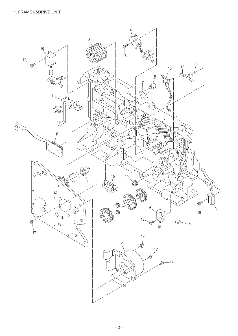<span id="page-4-0"></span>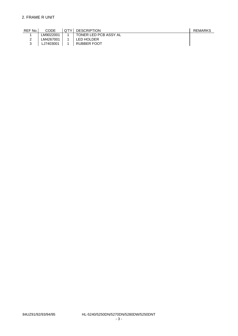<span id="page-5-0"></span>

| REF No. | CODE      | <b>LQ'TY LDESCRIPTION</b> | REMARKS |
|---------|-----------|---------------------------|---------|
|         | LM9022001 | TONER LED PCB ASSY AL     |         |
|         | LM4267001 | LED HOLDER                |         |
|         | LJ7403001 | <b>RUBBER FOOT</b>        |         |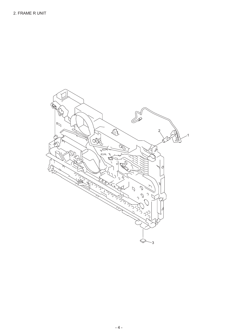<span id="page-6-0"></span>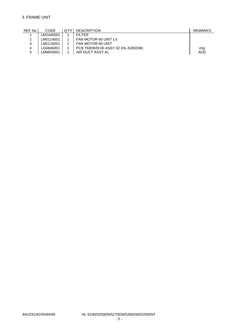# <span id="page-7-0"></span>3. FRAME UNIT

| REF No. | <b>CODE</b> | Q'TY I | <b>DESCRIPTION</b>                 | <b>REMARKS</b> |
|---------|-------------|--------|------------------------------------|----------------|
|         | LM2445001   |        | FII TFR                            |                |
| ົ       | LM5114001   |        | FAN MOTOR 60 UNIT LV               |                |
| 2       | LM5116001   |        | FAN MOTOR 60 UNIT                  |                |
| 4       | G6846001_   |        | PCB T60H929.00 ASSY 02 (HL-5280DW) | chg            |
| 5       | LM6655001   |        | AIR DUCT ASSY AL                   | <b>ADD</b>     |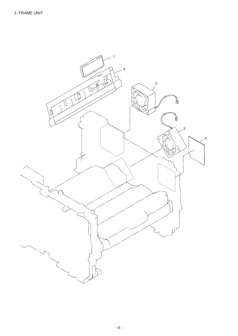<span id="page-8-0"></span>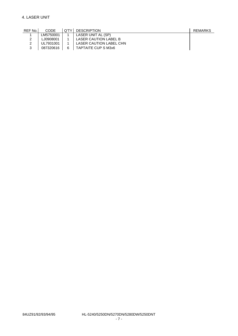<span id="page-9-0"></span>

| REF No. | CODE      | O'TY I | <b>DESCRIPTION</b>      | REMARKS |
|---------|-----------|--------|-------------------------|---------|
|         | LM5750001 |        | LASER UNIT AL (SP)      |         |
|         | LJ0908001 |        | LASER CAUTION LABEL B   |         |
|         | UL7931001 |        | LASER CAUTION LABEL CHN |         |
| ົ       | 087320616 | 6      | TAPTAITE CUP S M3x6     |         |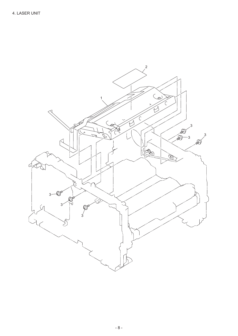<span id="page-10-0"></span>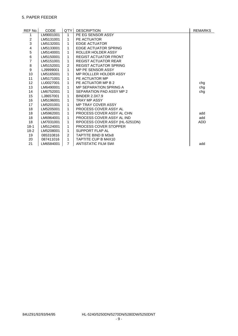# <span id="page-11-0"></span>5. PAPER FEEDER

| REF No.        | <b>CODE</b> | Q'TY           | <b>DESCRIPTION</b>             | <b>REMARKS</b> |
|----------------|-------------|----------------|--------------------------------|----------------|
| 1              | LM9001001   | 1              | PE EG SENSOR ASSY              |                |
| 2              | LM5131001   | 1              | PE ACTUATOR                    |                |
| 3              | LM5132001   | 1              | <b>EDGE ACTUATOR</b>           |                |
| 4              | LM5133001   | 1              | <b>EDGE ACTUATOR SPRING</b>    |                |
| 5              | LM5140001   | 1              | ROLLER HOLDER ASSY             |                |
| 6              | LM5150001   | 1              | <b>REGIST ACTUATOR FRONT</b>   |                |
| $\overline{7}$ | LM5151001   | 1              | <b>REGIST ACTUATOR REAR</b>    |                |
| $\bf 8$        | LM5152001   | $\mathcal{P}$  | <b>REGIST ACTUATOR SPRING</b>  |                |
| 9              | LJ9999001   | 1              | MP PE SENSOR ASSY              |                |
| 10             | LM5165001   | 1              | MP ROLLLER HOLDER ASSY         |                |
| 11             | LM5171001   | 1              | PE ACTUATOR MP                 |                |
| 12             | LU0027001   | 1              | PE ACTUATOR MP B 2             | chg            |
| 13             | LM6490001   | 1              | <b>MP SEPARATION SPRING A</b>  | chg            |
| 14             | LM6752001   | 1              | SEPARATION PAD ASSY MP 2       | chg            |
| 15             | LJ8657001   | 1              | <b>BINDER 2.3X7.9</b>          |                |
| 16             | LM5196001   | 1              | <b>TRAY MP ASSY</b>            |                |
| 17             | LM5201001   | 1              | <b>MP TRAY COVER ASSY</b>      |                |
| 18             | LM5205001   | 1              | PROCESS COVER ASSY AL          |                |
| 18             | LM5962001   | 1              | PROCESS COVER ASSY AL CHN      | add            |
| 18             | LM6964001   | 1              | PROCESS COVER ASSY AL IND      | add            |
| 18             | LM7031001   | 1              | RPOCESS COVER ASSY (HL-5251DN) | <b>ADD</b>     |
| $18-1$         | LM5124001   | 1              | PROCESS COVER STOPPER          |                |
| $18-2$         | LM5208001   | 1              | <b>SUPPORT FLAP AL</b>         |                |
| 19             | 085310816   | $\overline{2}$ | <b>TAPTITE BIND B M3x8</b>     |                |
| 20             | 087411016   | 1              | <b>TAPTITE CUP B M4X10</b>     |                |
| 21             | LM6584001   | $\overline{7}$ | <b>ANTISTATIC FILM SWI</b>     | add            |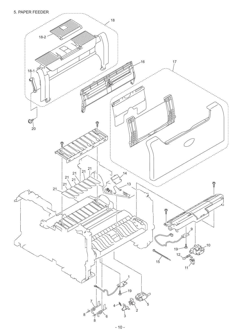<span id="page-12-0"></span>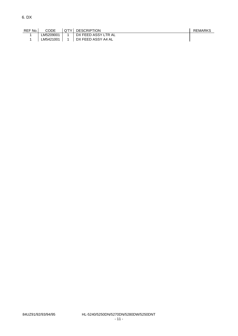<span id="page-13-0"></span>

| REF No. | <b>CODE</b> | LQ'TY LDESCRIPTION  | REMARKS |
|---------|-------------|---------------------|---------|
|         | LM5209001   | DX FEED ASSY LTR AL |         |
|         | LM5421001   | DX FEED ASSY A4 AL  |         |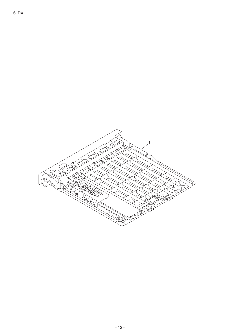<span id="page-14-0"></span>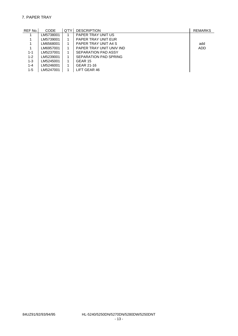# <span id="page-15-0"></span>7. PAPER TRAY

| REF No. | <b>CODE</b> | Q'TY I | <b>DESCRIPTION</b>       | <b>REMARKS</b> |
|---------|-------------|--------|--------------------------|----------------|
|         | LM5738001   |        | PAPER TRAY UNIT US       |                |
|         | LM5739001   |        | PAPER TRAY UNIT EUR      |                |
|         | LM6568001   |        | PAPER TRAY UNIT A4 S     | add            |
|         | LM6957001   |        | PAPER TRAY UNIT UNIV IND | ADD            |
| $1 - 1$ | LM5237001   |        | SEPARATION PAD ASSY      |                |
| $1 - 2$ | LM5239001   |        | SEPARATION PAD SPRING    |                |
| 1-3     | LM5245001   |        | GEAR 15                  |                |
| $1 - 4$ | LM5246001   |        | GEAR 21-16               |                |
| $1-5$   | LM5247001   |        | LIFT GEAR 46             |                |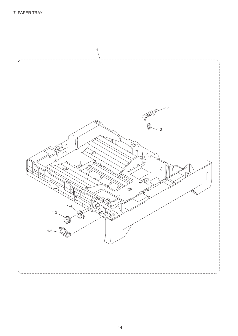<span id="page-16-0"></span>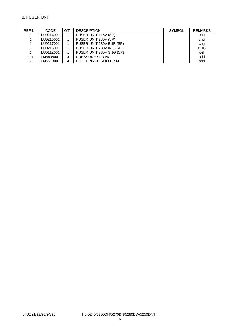# <span id="page-17-0"></span>8. FUSER UNIT

| REF No. | <b>CODE</b> | Q'TY | <b>DESCRIPTION</b>       | <b>SYMBOL</b> | <b>REMARKS</b> |
|---------|-------------|------|--------------------------|---------------|----------------|
|         | LU0214001   |      | FUSER UNIT 115V (SP)     |               | chg            |
|         | LU0215001   |      | FUSER UNIT 230V (SP)     |               | chg            |
|         | LU0217001   |      | FUSER UNIT 230V EUR (SP) |               | chg            |
|         | LU0216001   |      | FUSER UNIT 230V IND (SP) |               | <b>CHG</b>     |
|         | LU0112001   | 4    | FUSER UNIT 230V SNG (SP) |               | del            |
| 1-1     | LM5408001   | 4    | <b>PRESSURE SPRING</b>   |               | add            |
| $1 - 2$ | LM5513001   | 4    | EJECT PINCH ROLLER M     |               | add            |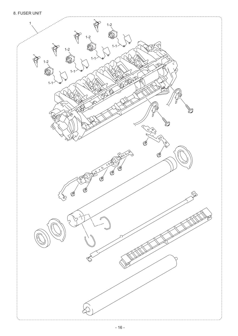<span id="page-18-0"></span>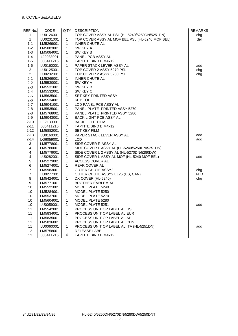# <span id="page-19-0"></span>9. COVERS&LABELS

| REF No.          | CODE      | Q'TY           | <b>DESCRIPTION</b>                              | <b>REMARKS</b> |
|------------------|-----------|----------------|-------------------------------------------------|----------------|
| 1                | LU0126001 | 1              | TOP COVER ASSY AL PSL (HL-5240/5250DN/5251DN)   | chg            |
| $\ddagger$       | LU0231001 | $\ddagger$     | TOP COVER ASSY AL MOF BEL PSL (HL-5240 MOF BEL) | del            |
| $1 - 1$          | LM5269001 | $\mathbf{1}$   | <b>INNER CHUTE AL</b>                           |                |
| $1 - 2$          | LM5083001 | 1              | SW KEY A                                        |                |
| $1 - 3$          | LM5084001 | 1              | SW KEY B                                        |                |
| $1 - 4$          | LJ9933001 | 1              | PANEL PCB ASSY AL                               |                |
| $1 - 5$          | 085411216 | 6              | TAPTITE BIND B M4x12                            |                |
| $1 - 6$          | LU0160001 | 1              | PAPER STACK LEVER ASSY AL                       | add            |
| $\overline{2}$   | LU0125001 | 1              | TOP COVER 2 ASSY 5270 PSL                       | chg            |
| $\overline{2}$   | LU0232001 | 1              | TOP COVER 2 ASSY 5280 PSL                       | chg            |
| $2 - 1$          | LM5269001 | 1              | <b>INNER CHUTE AL</b>                           |                |
| $2 - 2$          | LM5530001 | 1              | SW KEY A                                        |                |
| $2 - 3$          | LM5531001 | 1              | SW KEY B                                        |                |
| $2 - 4$          | LM5532001 | 1              | SW KEY C                                        |                |
| $2 - 5$          | LM5635001 | 1              | SET KEY PRINTED ASSY                            |                |
| $2 - 6$          | LM5534001 | 1              | <b>KEY TOP</b>                                  |                |
| $2 - 7$          | LM9041001 | 1              | LCD PANEL PCB ASSY AL                           |                |
| $2 - 8$          | LM5535001 | 1              | PANEL PLATE PRINTED ASSY 5270                   |                |
| $2 - 8$          | LM5768001 | 1              | PANEL PLATE PRINTED ASSY 5280                   |                |
| $2 - 9$          | LM9043001 | $\mathbf{1}$   | <b>BACK LIGHT PCB ASSY AL</b>                   |                |
| $2 - 10$         | LE7130001 | 1              | <b>BACK LIGHT FILM</b>                          |                |
| $2 - 11$         | 085411216 | $\overline{7}$ | TAPTITE BIND B M4x12                            |                |
| $2 - 12$         | LM5882001 | 1              | <b>SET KEY FILM</b>                             |                |
| $2 - 13$         | LU0160001 | 1              | PAPER STACK LEVER ASSY AL                       | add            |
| $2 - 14$         | LG6059001 | 1              | <b>LCD</b>                                      | add            |
| 3                | LM5778001 | 1              | SIDE COVER R ASSY AL                            |                |
| 4                | LM5780001 | 1              | SIDE COVER L ASSY AL (HL-5240/5250DN/5251DN)    |                |
| 4                | LM5779001 | 1              | SIDE COVER L 2 ASSY AL (HL-5270DN/5280DW)       |                |
| 4                | LU0282001 | 1              | SIDE COVER L ASSY AL MOF (HL-5240 MOF BEL)      | add            |
| 5                | LM5273001 | 1              | ACCESS COVER AL                                 |                |
| 6                | LM5274001 | 1              | REAR COVER AL                                   |                |
| $\overline{7}$   | LM5983001 | $\mathbf 1$    | <b>OUTER CHUTE ASSY2</b>                        | chg            |
| $\overline{7}$   | LU0277001 | 1              | OUTER CHUTE ASSY2 EL25 (US, CAN)                | <b>ADD</b>     |
| 8                | LM5424001 | 1              | DX COVER (HL-5240)                              | chg            |
| $\boldsymbol{9}$ | LM5771001 | 1              | <b>BROTHER EMBLEM AL</b>                        |                |
| 10               | LM5521001 | 1              | MODEL PLATE 5240                                |                |
| 10               | LM5284001 | $\mathbf{1}$   | MODEL PLATE 5250                                |                |
| 10               | LM5537001 | $\mathbf 1$    | MODEL PLATE 5270                                |                |
| 10               | LM5604001 | 1              | MODEL PLATE 5280                                |                |
| 10               | LU0059001 | 1              | MODEL PLATE 5251                                | add            |
| 11               | LM5542001 | 1              | PROCESS UNIT OP LABEL AL US                     |                |
| 11               | LM5834001 | 1              | PROCESS UNIT OP LABEL AL EUR                    |                |
| 11               | LM5835001 | 1              | PROCESS UNIT OP LABEL AL AP                     |                |
| 11               | LM5836001 | 1              | PROCESS UNIT OP LABEL AL CHN                    |                |
| 11               | LU0060001 | 1              | PROCESS UNIT OP LABEL AL ITA (HL-5251DN)        | add            |
| 12               | LM5758001 | 1              | RELEASE LABEL                                   |                |
| 13               | 085411216 | 6              | TAPTITE BIND B M4x12                            |                |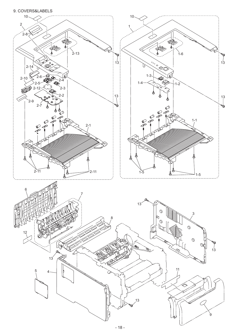<span id="page-20-0"></span>[9. COVERS&LABELS](#page-19-0)

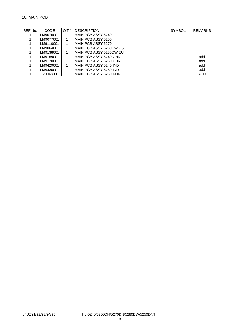### <span id="page-21-0"></span>10. MAIN PCB

| REF No. | <b>CODE</b> | Q'TY I | <b>DESCRIPTION</b>      | <b>SYMBOL</b> | REMARKS |
|---------|-------------|--------|-------------------------|---------------|---------|
|         | LM9076001   |        | MAIN PCB ASSY 5240      |               |         |
|         | LM9077001   |        | MAIN PCB ASSY 5250      |               |         |
|         | LM9110001   |        | MAIN PCB ASSY 5270      |               |         |
|         | LM9064001   |        | MAIN PCB ASSY 5280DW US |               |         |
|         | LM9138001   |        | MAIN PCB ASSY 5280DW EU |               |         |
|         | LM9169001   |        | MAIN PCB ASSY 5240 CHN  |               | add     |
|         | LM9170001   |        | MAIN PCB ASSY 5250 CHN  |               | add     |
|         | LM9429001   |        | MAIN PCB ASSY 5240 IND  |               | add     |
|         | LM9430001   |        | MAIN PCB ASSY 5250 IND  |               | add     |
|         | LV0048001   |        | MAIN PCB ASSY 5250 KOR  |               | ADD     |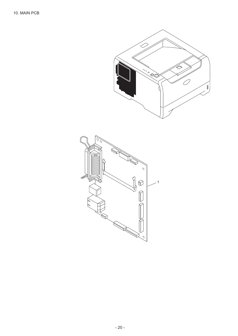<span id="page-22-0"></span>

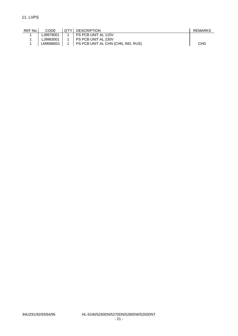<span id="page-23-0"></span>

| REF No. | CODE       | O'TY LDESCRIPTION                                  | REMARKS |
|---------|------------|----------------------------------------------------|---------|
|         | ∟19979001. | PS PCB UNIT AL 115V                                |         |
|         | ∟J9983001. | PS PCB UNIT AL 230V                                |         |
|         |            | LM9088001   1   PS PCB UNIT AL CHN (CHN, IND, RUS) | CHG     |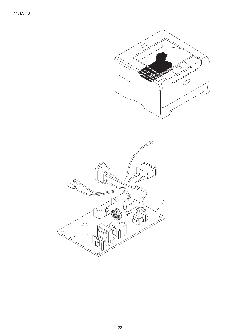<span id="page-24-0"></span>

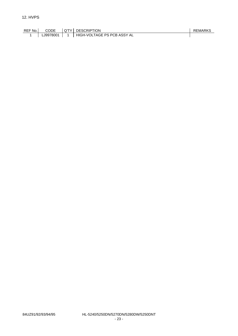<span id="page-25-0"></span>

| REF No.I | <b>CODE</b> | <b>COTYL DESCRIPTION</b>    | <b>REMARKS</b> |
|----------|-------------|-----------------------------|----------------|
|          | LJ9978001   | HIGH-VOLTAGE PS PCB ASSY AL |                |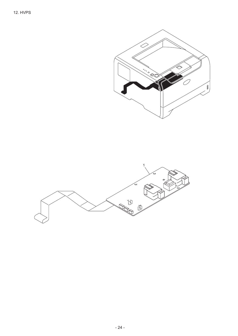<span id="page-26-0"></span>

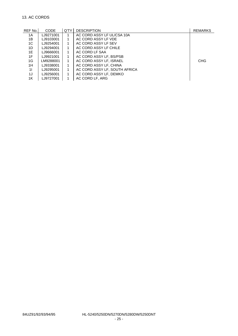# <span id="page-27-0"></span>13. AC CORDS

| REF No. | <b>CODE</b> | Q'TY | <b>DESCRIPTION</b>            | <b>REMARKS</b> |
|---------|-------------|------|-------------------------------|----------------|
| 1A      | LJ9271001   |      | AC CORD ASSY LF UL/CSA 10A    |                |
| 1В      | LJ9103001   |      | AC CORD ASSY LF VDE           |                |
| 1C      | LJ9254001   |      | AC CORD ASSY LF SEV           |                |
| 1D      | LJ9294001   |      | AC CORD ASSY LF CHILE         |                |
| 1E      | LJ9666001   |      | AC CORD LF SAA                |                |
| 1F      | LJ9921001   |      | AC CORD ASSY LF, BS/PSB       |                |
| 1G      | LM9288001   |      | AC CORD ASSY LF, ISRAEL       | <b>CHG</b>     |
| 1H      | LJ9338001   |      | AC CORD ASSY LF, CHINA        |                |
| 11      | LJ9295001   |      | AC CORD ASSY LF, SOUTH AFRICA |                |
| 1J      | LJ9256001   | 1    | AC CORD ASSY LF, DEMKO        |                |
| 1K      | LJ9727001   |      | AC CORD LF. ARG               |                |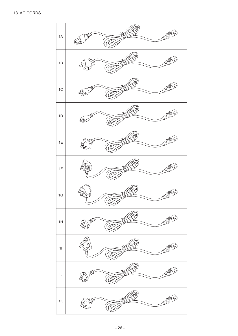<span id="page-28-0"></span>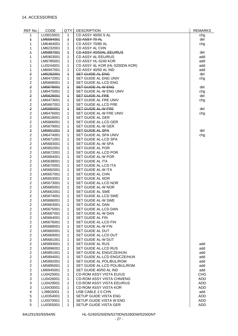| REF No.                                   | CODE                   | Q'TY                | <b>DESCRIPTION</b>                                       | <b>REMARKS</b> |
|-------------------------------------------|------------------------|---------------------|----------------------------------------------------------|----------------|
| 1                                         | LU0015001              | 1                   | CD ASSY 40/50 S AL                                       | chg            |
| $\ddagger$                                | LM5594001              | $\ddagger$          | <b>CD ASSY 70 AL</b>                                     | del            |
| 1                                         | LM6464001              | 1                   | CD ASSY 70/80 AL                                         | chg            |
| 1                                         | LM6232001              | 1                   | CD ASSY AL CHN                                           |                |
| $\overline{\phantom{a}}$                  | LM5997001              | $\overline{1}$      | CD ASSY 40/50AL EEU/RUS                                  | del            |
| $\mathbf{1}$                              | LM5903001              | 1                   | CD ASSY AL EEU/RUS                                       | add            |
| 1                                         | LM6785001              | 1                   | CD ASSY HL-5240 KOR                                      | add            |
| 1                                         | LU0244001              | 1                   | CD ASSY AL KOR (HL-5250DN KOR)                           | add            |
| 1                                         | LM6947001              | 1                   | CD ASSY 40/50 AL IND                                     | add            |
| 2                                         | LM5292001              | $\ddagger$          | SET GUIDE AL ENG                                         | del            |
| $\overline{c}$                            | LM6472001              | 1                   | SET GUIDE AL ENG UNIV                                    | chg            |
| $\overline{c}$                            | LM5668001              | 1                   | SET GUIDE AL-LCD ENG                                     |                |
| $\overline{2}$                            | LM5678001              | $\ddagger$          | <b>SET GUIDE AL-W ENG</b>                                | del            |
| $\overline{c}$<br>$\overline{\mathbf{z}}$ | LM6475001              | 1                   | SET GUIDE AL-W ENG UNIV                                  | chg            |
| $\overline{c}$                            | LM5628001<br>LM6473001 | $\overline{1}$<br>1 | SET GUIDE AL FRE<br>SET GUIDE AL FRE UNIV                | del            |
| $\overline{c}$                            | LM5667001              | 1                   | SET GUIDE AL-LCD FRE                                     | chg            |
| $\mathbf 2$                               | LM5680001              | $\overline{1}$      | <b>SET GUIDE AL-W FRE</b>                                | del            |
| $\overline{c}$                            | LM6476001              | 1                   | SET GUIDE AL-W FRE UNIV                                  | chg            |
| $\overline{c}$                            | LM5618001              | 1                   | SET GUIDE AL GER                                         |                |
| $\overline{c}$                            | LM5666001              | 1                   | SET GUIDE AL-LCD GER                                     |                |
| $\overline{c}$                            | LM5679001              | 1                   | SET GUIDE AL-W GER                                       |                |
| $\overline{2}$                            | LM5651001              | $\ddagger$          | SET GUIDE AL SPA                                         | del            |
| $\overline{c}$                            | LM6474001              | 1                   | SET GUIDE AL SPA UNIV                                    | chg            |
| $\overline{c}$                            | LM5671001              | 1                   | SET GUIDE AL-LCD SPA                                     |                |
| $\overline{2}$                            | LM5683001              | 1                   | SET GUIDE AL-W SPA                                       |                |
| $\overline{c}$                            | LM5652001              | 1                   | SET GUIDE AL POR                                         |                |
| $\overline{c}$                            | LM5672001              | 1                   | SET GUIDE AL-LCD POR                                     |                |
| $\overline{c}$                            | LM5684001              | 1                   | SET GUIDE AL-W POR                                       |                |
| $\overline{c}$                            | LM5638001              | $\mathbf{1}$        | SET GUIDE AL ITA                                         |                |
| $\overline{c}$                            | LM5670001              | 1                   | SET GUIDE AL-LCD ITA                                     |                |
| $\overline{c}$                            | LM5682001              | 1                   | SET GUIDE AL-W ITA                                       |                |
| $\overline{c}$                            | LM5657001              | 1                   | SET GUIDE AL CHN                                         |                |
| $\overline{c}$                            | LM5653001              | 1                   | SET GUIDE AL NOR                                         |                |
| $\overline{c}$                            | LM5673001              | 1                   | SET GUIDE AL-LCD NOR                                     |                |
| $\overline{c}$                            | LM5685001              | 1                   | SET GUIDE AL-W NOR                                       |                |
| $\overline{c}$                            | LM5662001              | 1                   | SET GUIDE AL SWE                                         |                |
| $\overline{c}$                            | LM5674001              | 1                   | SET GUIDE AL-LCD SWE                                     |                |
| $\overline{c}$                            | LM5686001              | 1                   | SET GUIDE AL-W SWE                                       |                |
| $\overline{2}$                            | LM5663001              | 1                   | SET GUIDE AL DAN                                         |                |
| $\overline{c}$                            | LM5675001              | 1                   | SET GUIDE AL-LCD DAN                                     |                |
| $\overline{2}$                            | LM5687001              | 1                   | SET GUIDE AL-W DAN                                       |                |
| $\overline{2}$                            | LM5664001              | 1                   | SET GUIDE AL FIN                                         |                |
| $\overline{c}$                            | LM5676001              | 1                   | SET GUIDE AL-LCD FIN                                     |                |
| $\overline{c}$                            | LM5688001              | 1                   | SET GUIDE AL-W FIN                                       |                |
| $\overline{2}$                            | LM5665001              | 1                   | SET GUIDE AL DUT                                         |                |
| $\overline{c}$                            | LM5669001              | $\mathbf{1}$        | SET GUIDE AL-LCD DUT                                     |                |
| $\overline{c}$                            | LM5681001              | 1                   | SET GUIDE AL-W DUT                                       |                |
| $\overline{2}$                            | LM5893001              | 1                   | SET GUIDE AL RUS                                         | add            |
| $\overline{2}$<br>$\overline{2}$          | LM5896001              | 1                   | SET GUIDE AL-LCD RUS                                     | add            |
| $\overline{c}$                            | LM5891001<br>LM5894001 | 1<br>1              | SET GUIDE AL ENG/CZE/HUN<br>SET GUIDE AL-LCD ENG/CZE/HUN | add<br>add     |
| $\overline{c}$                            | LM5892001              | 1                   | SET GUIDE AL POL/BUL/ROM                                 | add            |
| $\overline{c}$                            | LM5895001              | 1                   | SET GUIDE AL-LCD POL/BUL/ROM                             | add            |
| $\overline{c}$                            | LM6945001              | 1                   | SET GUIDE 40/50 AL IND                                   | add            |
| 3                                         | LU0425001              | 1                   | <b>CD-ROM ASSY VISTA EU/US</b>                           | <b>CHG</b>     |
| 3                                         | LU0426001              | 1                   | CD-ROM ASSY VISTA CHN/ENG                                | ADD            |
| 3                                         | LU0429001              | $\mathbf{1}$        | CD-ROM ASSY VISTA EEU/RUS                                | ADD            |
| 3                                         | LU0430001              | 1                   | <b>CD-ROM ASSY VISTA KOR</b>                             | ADD            |
| 4                                         | LJ9803001              | 1                   | USB CABLE 2.0 CHN                                        | add            |
| 5                                         | LU0354001              | 1                   | SETUP GUIDE VISTA ENG                                    | ADD            |
| 5                                         | LU0370001              | 1                   | SETUP GUIDE VISTA W ENG                                  | ADD            |
| 5                                         | LU0355001              | 1                   | SETUP GUIDE VISTA GER                                    | ADD            |

84UZ91/92/93/94/95

HL-5240/5250DN/5270DN/5280DW/5250DNT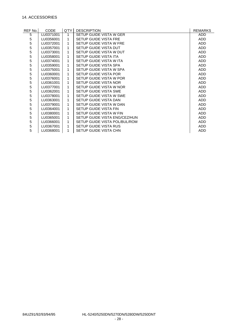# 14. ACCESSORIES

| REF No.l    | CODE      | Q'TY | <b>DESCRIPTION</b>            | <b>REMARKS</b> |
|-------------|-----------|------|-------------------------------|----------------|
| 5           | LU0371001 |      | SETUP GUIDE VISTA W GER       | <b>ADD</b>     |
| 5           | LU0356001 | 1    | SETUP GUIDE VISTA FRE         | <b>ADD</b>     |
| 5           | LU0372001 | 1    | SETUP GUIDE VISTA W FRE       | <b>ADD</b>     |
| 5           | LU0357001 | 1    | SETUP GUIDE VISTA DUT         | <b>ADD</b>     |
| 5           | LU0373001 | 1    | SETUP GUIDE VISTA W DUT       | <b>ADD</b>     |
| 5           | LU0358001 | 1    | <b>SETUP GUIDE VISTA ITA</b>  | <b>ADD</b>     |
| 5           | LU0374001 | 1    | SETUP GUIDE VISTA W ITA       | <b>ADD</b>     |
| 5           | LU0359001 | 1    | SETUP GUIDE VISTA SPA         | <b>ADD</b>     |
| 5           | LU0375001 | 1    | SETUP GUIDE VISTA W SPA       | <b>ADD</b>     |
| 5           | LU0360001 | 1    | SETUP GUIDE VISTA POR         | <b>ADD</b>     |
| 5           | LU0376001 | 1    | SETUP GUIDE VISTA W POR       | <b>ADD</b>     |
| 5           | LU0361001 | 1    | SETUP GUIDE VISTA NOR         | <b>ADD</b>     |
| 5           | LU0377001 | 1    | SETUP GUIDE VISTA W NOR       | <b>ADD</b>     |
| 5           | LU0362001 | 1    | SETUP GUIDE VISTA SWE         | <b>ADD</b>     |
| 5           | LU0378001 | 1    | SETUP GUIDE VISTA W SWE       | <b>ADD</b>     |
| 5           | LU0363001 | 1    | SETUP GUIDE VISTA DAN         | <b>ADD</b>     |
| 5           | LU0379001 | 1    | SETUP GUIDE VISTA W DAN       | <b>ADD</b>     |
| 5           | LU0364001 | 1    | SETUP GUIDE VISTA FIN         | <b>ADD</b>     |
| 5           | LU0380001 | 1    | SETUP GUIDE VISTA W FIN       | <b>ADD</b>     |
| 5           | LU0365001 | 1    | SETUP GUIDE VISTA ENG/CEZ/HUN | <b>ADD</b>     |
| 5           | LU0366001 | 1    | SETUP GUIDE VISTA POL/BUL/ROM | <b>ADD</b>     |
| $\mathbf 5$ | LU0367001 | 1    | SETUP GUIDE VISTA RUS         | <b>ADD</b>     |
| 5           | LU0368001 | 1    | SETUP GUIDE VISTA CHN         | ADD            |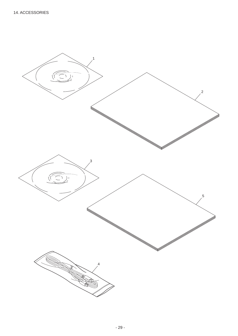<span id="page-31-0"></span>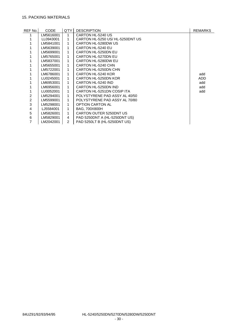# <span id="page-32-0"></span>15. PACKING MATERIALS

| REF No. | <b>CODE</b> | Q'TY | <b>DESCRIPTION</b>              | <b>REMARKS</b> |
|---------|-------------|------|---------------------------------|----------------|
|         | LM5616001   |      | CARTON HL-5240 US               |                |
|         | LL0943001   |      | CARTON HL-5250 US/HL-5250DNT US |                |
|         | LM5841001   |      | CARTON HL-5280DW US             |                |
|         | LM5639001   |      | CARTON HL-5240 EU               |                |
|         | LM5699001   |      | CARTON HL-5250DN EU             |                |
|         | LM5765001   |      | CARTON HL-5270DN EU             |                |
|         | LM5837001   |      | CARTON HL-5280DW EU             |                |
|         | LM5655001   |      | CARTON HL-5240 CHN              |                |
|         | LM5722001   |      | CARTON HL-5250DN CHN            |                |
|         | LM6786001   |      | CARTON HL-5240 KOR              | add            |
|         | LU0245001   |      | CARTON HL-5250DN KOR            | <b>ADD</b>     |
|         | LM6953001   |      | CARTON HL-5240 IND              | add            |
|         | LM6956001   |      | CARTON HL-5250DN IND            | add            |
|         | LU0052001   |      | CARTON HL-5251DN COSIP ITA      | add            |
| 2       | LM5294001   |      | POLYSTYRENE PAD ASSY AL 40/50   |                |
| 2       | LM5599001   |      | POLYSTYRENE PAD ASSY AL 70/80   |                |
| 3       | LM5298001   |      | <b>OPTION CARTON AL</b>         |                |
| 4       | LJ5584001   |      | BAG. 700X800H                   |                |
| 5       | LM5826001   |      | CARTON OUTER 5250DNT US         |                |
| 6       | LM5829001   | 4    | PAD 5250DNT A (HL-5250DNT US)   |                |
| 7       | LM2042001   | 2    | PAD 5250LT B (HL-5250DNT US)    |                |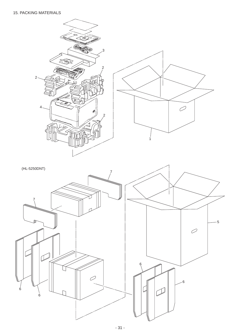# <span id="page-33-0"></span>[15. PACKING MATERIALS](#page-32-0)



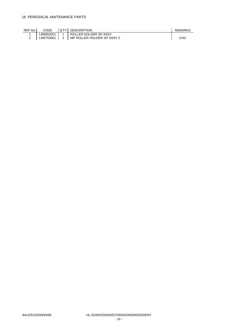<span id="page-34-0"></span>

| REF No. | CODE      | <b>Q'TY LDESCRIPTION</b>                   | REMARKS    |
|---------|-----------|--------------------------------------------|------------|
|         | LM5852001 | <b>I ROLLER HOLDER SP ASSY</b>             |            |
|         |           | LM6753001   1   MP ROLLER HOLDER SP ASSY 2 | <b>CHG</b> |